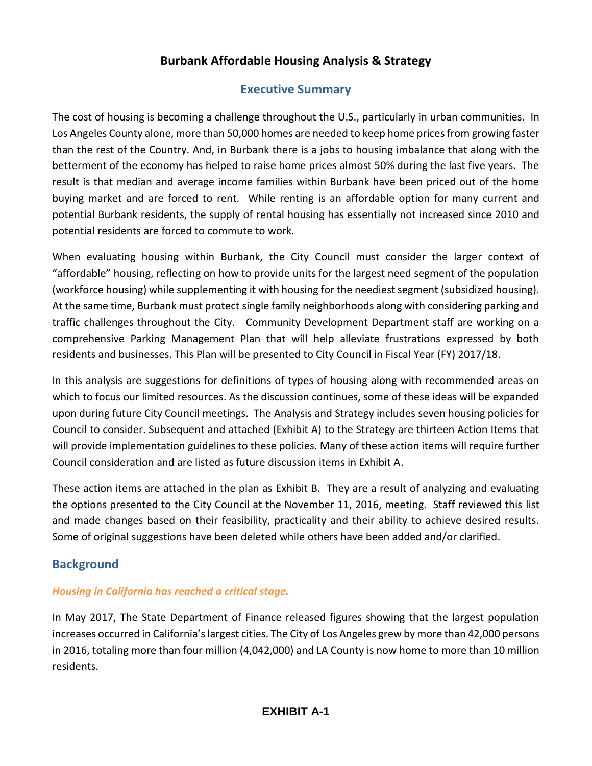# **Burbank Affordable Housing Analysis & Strategy**

# **Executive Summary**

The cost of housing is becoming a challenge throughout the U.S., particularly in urban communities. In Los Angeles County alone, more than 50,000 homes are needed to keep home prices from growing faster than the rest of the Country. And, in Burbank there is a jobs to housing imbalance that along with the betterment of the economy has helped to raise home prices almost 50% during the last five years. The result is that median and average income families within Burbank have been priced out of the home buying market and are forced to rent. While renting is an affordable option for many current and potential Burbank residents, the supply of rental housing has essentially not increased since 2010 and potential residents are forced to commute to work.

When evaluating housing within Burbank, the City Council must consider the larger context of "affordable" housing, reflecting on how to provide units for the largest need segment of the population (workforce housing) while supplementing it with housing for the neediest segment (subsidized housing). At the same time, Burbank must protect single family neighborhoods along with considering parking and traffic challenges throughout the City. Community Development Department staff are working on a comprehensive Parking Management Plan that will help alleviate frustrations expressed by both residents and businesses. This Plan will be presented to City Council in Fiscal Year (FY) 2017/18.

In this analysis are suggestions for definitions of types of housing along with recommended areas on which to focus our limited resources. As the discussion continues, some of these ideas will be expanded upon during future City Council meetings. The Analysis and Strategy includes seven housing policies for Council to consider. Subsequent and attached (Exhibit A) to the Strategy are thirteen Action Items that will provide implementation guidelines to these policies. Many of these action items will require further Council consideration and are listed as future discussion items in Exhibit A.

These action items are attached in the plan as Exhibit B. They are a result of analyzing and evaluating the options presented to the City Council at the November 11, 2016, meeting. Staff reviewed this list and made changes based on their feasibility, practicality and their ability to achieve desired results. Some of original suggestions have been deleted while others have been added and/or clarified.

# **Background**

## *Housing in California has reached a critical stage.*

In May 2017, The State Department of Finance released figures showing that the largest population increases occurred in California'slargest cities. The City of Los Angeles grew by more than 42,000 persons in 2016, totaling more than four million (4,042,000) and LA County is now home to more than 10 million residents.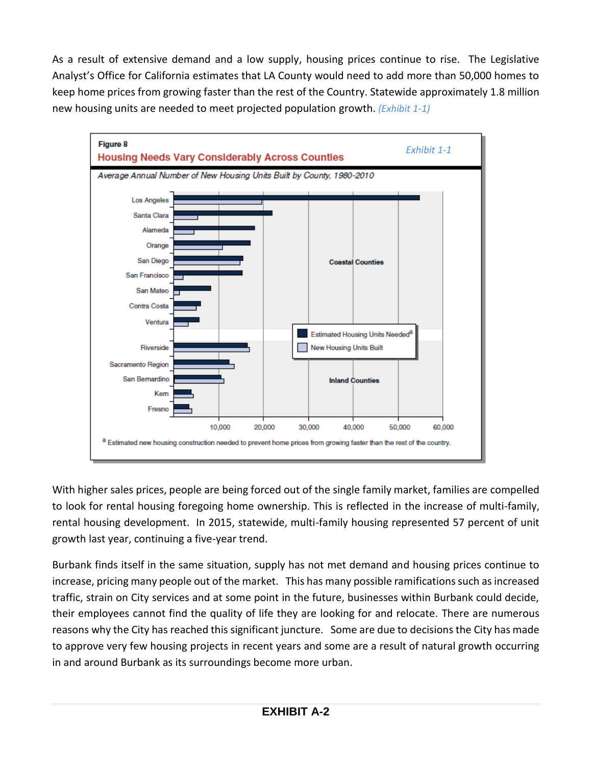As a result of extensive demand and a low supply, housing prices continue to rise. The Legislative Analyst's Office for California estimates that LA County would need to add more than 50,000 homes to keep home prices from growing faster than the rest of the Country. Statewide approximately 1.8 million new housing units are needed to meet projected population growth. *(Exhibit 1-1)*



With higher sales prices, people are being forced out of the single family market, families are compelled to look for rental housing foregoing home ownership. This is reflected in the increase of multi-family, rental housing development. In 2015, statewide, multi-family housing represented 57 percent of unit growth last year, continuing a five-year trend.

Burbank finds itself in the same situation, supply has not met demand and housing prices continue to increase, pricing many people out of the market. This has many possible ramifications such as increased traffic, strain on City services and at some point in the future, businesses within Burbank could decide, their employees cannot find the quality of life they are looking for and relocate. There are numerous reasons why the City has reached this significant juncture. Some are due to decisions the City has made to approve very few housing projects in recent years and some are a result of natural growth occurring in and around Burbank as its surroundings become more urban.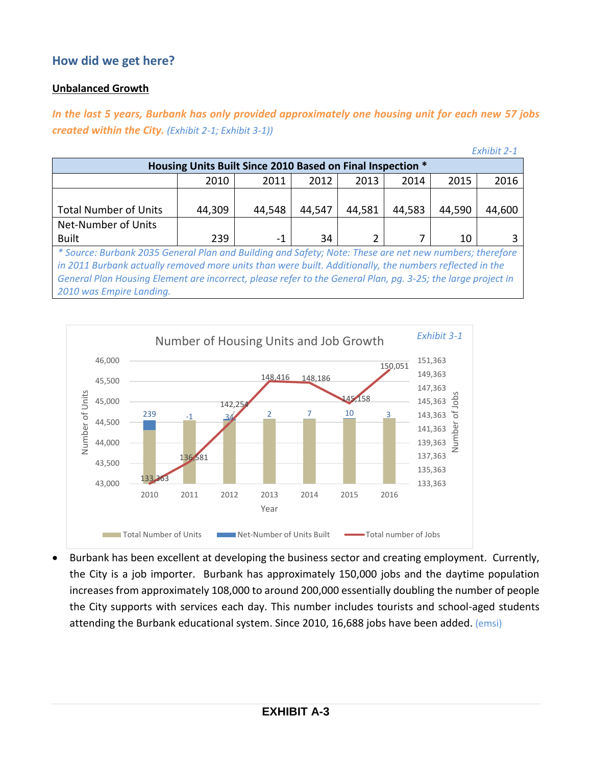## **How did we get here?**

#### **Unbalanced Growth**

*In the last 5 years, Burbank has only provided approximately one housing unit for each new 57 jobs created within the City. (Exhibit 2-1; Exhibit 3-1))*

*Exhibit 2-1*

|                                                                                                              |        |        |        |        |        |        | $L$ Allinic $L$ $L$ |  |  |
|--------------------------------------------------------------------------------------------------------------|--------|--------|--------|--------|--------|--------|---------------------|--|--|
| Housing Units Built Since 2010 Based on Final Inspection *                                                   |        |        |        |        |        |        |                     |  |  |
|                                                                                                              | 2010   | 2011   | 2012   | 2013   | 2014   | 2015   | 2016                |  |  |
|                                                                                                              |        |        |        |        |        |        |                     |  |  |
| <b>Total Number of Units</b>                                                                                 | 44,309 | 44,548 | 44,547 | 44,581 | 44,583 | 44,590 | 44,600              |  |  |
| Net-Number of Units                                                                                          |        |        |        |        |        |        |                     |  |  |
| <b>Built</b>                                                                                                 | 239    | -1     | 34     |        |        | 10     |                     |  |  |
| * Source: Burbank 2035 General Plan and Building and Safety; Note: These are net new numbers; therefore      |        |        |        |        |        |        |                     |  |  |
| in 2011 Burbank actually removed more units than were built. Additionally, the numbers reflected in the      |        |        |        |        |        |        |                     |  |  |
| General Plan Housing Element are incorrect, please refer to the General Plan, pq. 3-25; the large project in |        |        |        |        |        |        |                     |  |  |

*2010 was Empire Landing.*



 Burbank has been excellent at developing the business sector and creating employment. Currently, the City is a job importer. Burbank has approximately 150,000 jobs and the daytime population increases from approximately 108,000 to around 200,000 essentially doubling the number of people the City supports with services each day. This number includes tourists and school-aged students attending the Burbank educational system. Since 2010, 16,688 jobs have been added. (emsi)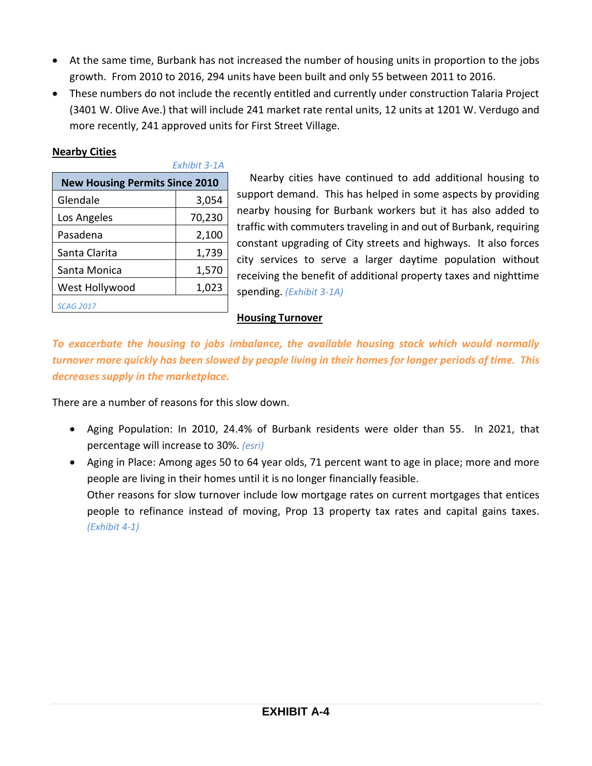- At the same time, Burbank has not increased the number of housing units in proportion to the jobs growth. From 2010 to 2016, 294 units have been built and only 55 between 2011 to 2016.
- These numbers do not include the recently entitled and currently under construction Talaria Project (3401 W. Olive Ave.) that will include 241 market rate rental units, 12 units at 1201 W. Verdugo and more recently, 241 approved units for First Street Village.

#### **Nearby Cities**

|                                       | Fxhihit 3-1A |
|---------------------------------------|--------------|
| <b>New Housing Permits Since 2010</b> |              |
| Glendale                              | 3,054        |
| Los Angeles                           | 70,230       |
| Pasadena                              | 2,100        |
| Santa Clarita                         | 1,739        |
| Santa Monica                          | 1,570        |
| West Hollywood                        | 1,023        |
| <b>SCAG 2017</b>                      |              |

*Exhibit 3-1A*

Nearby cities have continued to add additional housing to support demand. This has helped in some aspects by providing nearby housing for Burbank workers but it has also added to traffic with commuters traveling in and out of Burbank, requiring constant upgrading of City streets and highways. It also forces city services to serve a larger daytime population without receiving the benefit of additional property taxes and nighttime spending. *(Exhibit 3-1A)*

## **Housing Turnover**

*To exacerbate the housing to jobs imbalance, the available housing stock which would normally turnover more quickly has been slowed by people living in their homes for longer periods of time. This decreases supply in the marketplace.*

There are a number of reasons for this slow down.

- Aging Population: In 2010, 24.4% of Burbank residents were older than 55. In 2021, that percentage will increase to 30%. *(esri)*
- Aging in Place: Among ages 50 to 64 year olds, 71 percent want to age in place; more and more people are living in their homes until it is no longer financially feasible. Other reasons for slow turnover include low mortgage rates on current mortgages that entices people to refinance instead of moving, Prop 13 property tax rates and capital gains taxes. *(Exhibit 4-1)*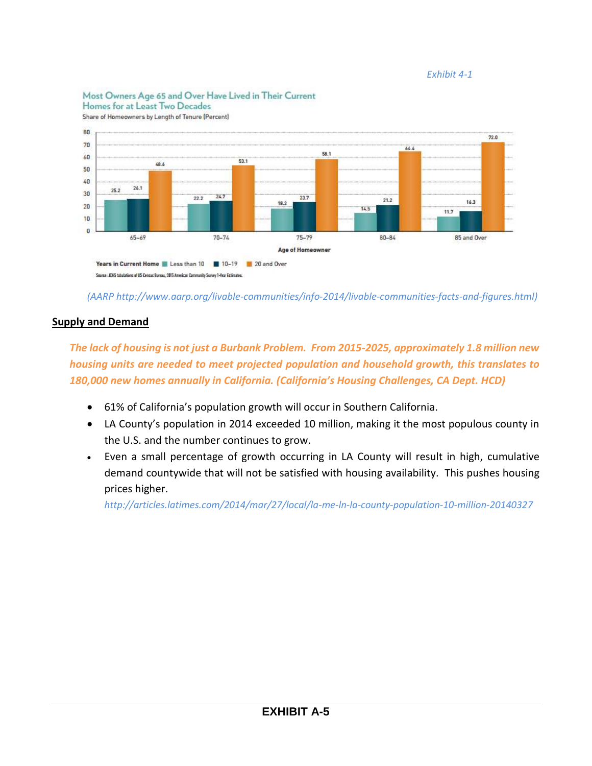#### *Exhibit 4-1*

#### Most Owners Age 65 and Over Have Lived in Their Current Homes for at Least Two Decades





*(AARP [http://www.aarp.org/livable-communities/info-2014/livable-communities-facts-and-figures.html\)](http://www.aarp.org/livable-communities/info-2014/livable-communities-facts-and-figures.html)* 

#### **Supply and Demand**

*The lack of housing is not just a Burbank Problem. From 2015-2025, approximately 1.8 million new housing units are needed to meet projected population and household growth, this translates to 180,000 new homes annually in California. (California's Housing Challenges, CA Dept. HCD)*

- 61% of California's population growth will occur in Southern California.
- LA County's population in 2014 exceeded 10 million, making it the most populous county in the U.S. and the number continues to grow.
- Even a small percentage of growth occurring in LA County will result in high, cumulative demand countywide that will not be satisfied with housing availability. This pushes housing prices higher.

*<http://articles.latimes.com/2014/mar/27/local/la-me-ln-la-county-population-10-million-20140327>*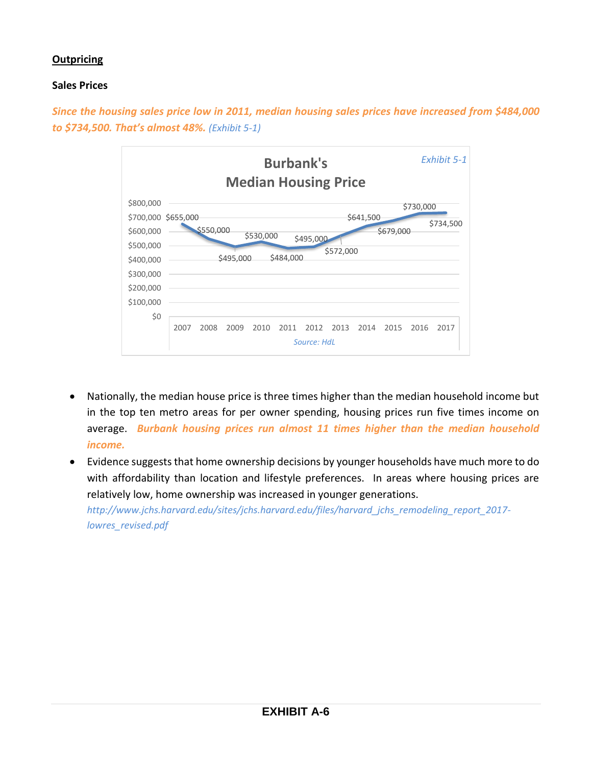## **Outpricing**

#### **Sales Prices**

*Since the housing sales price low in 2011, median housing sales prices have increased from \$484,000 to \$734,500. That's almost 48%. (Exhibit 5-1)*



- Nationally, the median house price is three times higher than the median household income but in the top ten metro areas for per owner spending, housing prices run five times income on average. *Burbank housing prices run almost 11 times higher than the median household income.*
- Evidence suggests that home ownership decisions by younger households have much more to do with affordability than location and lifestyle preferences. In areas where housing prices are relatively low, home ownership was increased in younger generations. *[http://www.jchs.harvard.edu/sites/jchs.harvard.edu/files/harvard\\_jchs\\_remodeling\\_report\\_2017](http://www.jchs.harvard.edu/sites/jchs.harvard.edu/files/harvard_jchs_remodeling_report_2017-lowres_revised.pdf) [lowres\\_revised.pdf](http://www.jchs.harvard.edu/sites/jchs.harvard.edu/files/harvard_jchs_remodeling_report_2017-lowres_revised.pdf)*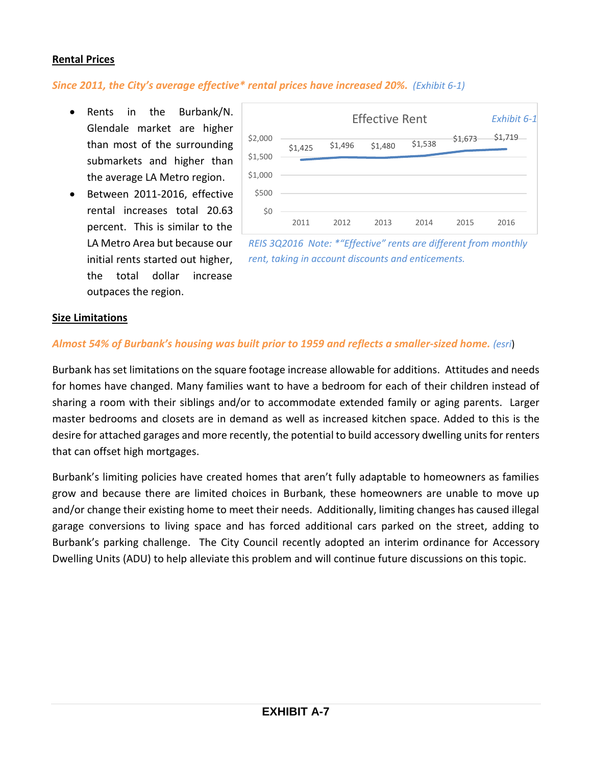#### **Rental Prices**

#### *Since 2011, the City's average effective\* rental prices have increased 20%. (Exhibit 6-1)*

- Rents in the Burbank/N. Glendale market are higher than most of the surrounding submarkets and higher than the average LA Metro region.
- Between 2011-2016, effective rental increases total 20.63 percent. This is similar to the LA Metro Area but because our initial rents started out higher, the total dollar increase outpaces the region.



*REIS 3Q2016 Note: \*"Effective" rents are different from monthly rent, taking in account discounts and enticements.*

#### **Size Limitations**

#### *Almost 54% of Burbank's housing was built prior to 1959 and reflects a smaller-sized home. (esri*)

Burbank has set limitations on the square footage increase allowable for additions. Attitudes and needs for homes have changed. Many families want to have a bedroom for each of their children instead of sharing a room with their siblings and/or to accommodate extended family or aging parents. Larger master bedrooms and closets are in demand as well as increased kitchen space. Added to this is the desire for attached garages and more recently, the potential to build accessory dwelling units for renters that can offset high mortgages.

Burbank's limiting policies have created homes that aren't fully adaptable to homeowners as families grow and because there are limited choices in Burbank, these homeowners are unable to move up and/or change their existing home to meet their needs. Additionally, limiting changes has caused illegal garage conversions to living space and has forced additional cars parked on the street, adding to Burbank's parking challenge. The City Council recently adopted an interim ordinance for Accessory Dwelling Units (ADU) to help alleviate this problem and will continue future discussions on this topic.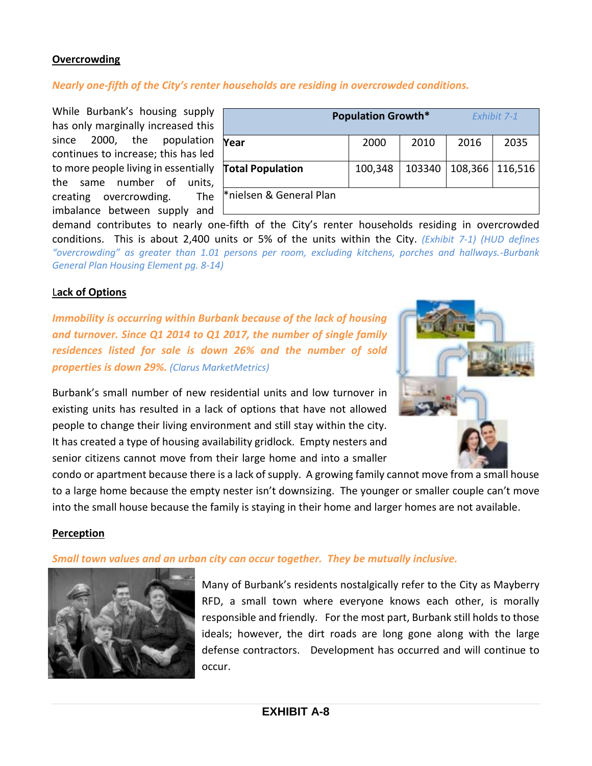#### **Overcrowding**

#### *Nearly one‐fifth of the City's renter households are residing in overcrowded conditions.*

While Burbank's housing supply has only marginally increased this since 2000, the population continues to increase; this has led to more people living in essentially the same number of units, creating overcrowding. The imbalance between supply and

|                                     | <b>Population Growth*</b> |        | <b>Fxhibit 7-1</b> |         |  |
|-------------------------------------|---------------------------|--------|--------------------|---------|--|
| Year                                | 2000                      | 2010   | 2016               | 2035    |  |
| <b>Total Population</b>             | 100,348                   | 103340 | 108,366            | 116,516 |  |
| <sup>*</sup> nielsen & General Plan |                           |        |                    |         |  |

demand contributes to nearly one‐fifth of the City's renter households residing in overcrowded conditions. This is about 2,400 units or 5% of the units within the City. *(Exhibit 7-1) (HUD defines "overcrowding" as greater than 1.01 persons per room, excluding kitchens, porches and hallways.-Burbank General Plan Housing Element pg. 8-14)*

#### L**ack of Options**

*Immobility is occurring within Burbank because of the lack of housing and turnover. Since Q1 2014 to Q1 2017, the number of single family residences listed for sale is down 26% and the number of sold properties is down 29%. (Clarus MarketMetrics)*

Burbank's small number of new residential units and low turnover in existing units has resulted in a lack of options that have not allowed people to change their living environment and still stay within the city. It has created a type of housing availability gridlock. Empty nesters and senior citizens cannot move from their large home and into a smaller



condo or apartment because there is a lack of supply. A growing family cannot move from a small house to a large home because the empty nester isn't downsizing. The younger or smaller couple can't move into the small house because the family is staying in their home and larger homes are not available.

#### **Perception**

#### *Small town values and an urban city can occur together. They be mutually inclusive.*



Many of Burbank's residents nostalgically refer to the City as Mayberry RFD, a small town where everyone knows each other, is morally responsible and friendly. For the most part, Burbank still holds to those ideals; however, the dirt roads are long gone along with the large defense contractors. Development has occurred and will continue to occur.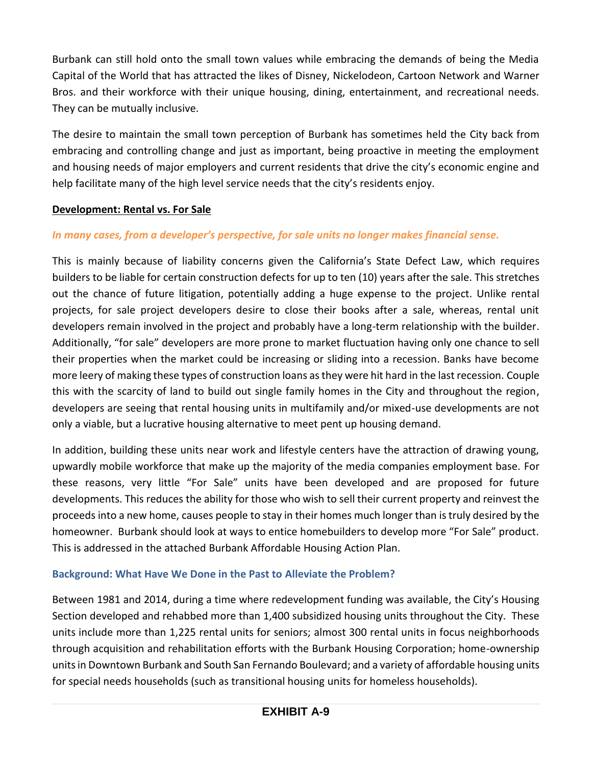Burbank can still hold onto the small town values while embracing the demands of being the Media Capital of the World that has attracted the likes of Disney, Nickelodeon, Cartoon Network and Warner Bros. and their workforce with their unique housing, dining, entertainment, and recreational needs. They can be mutually inclusive.

The desire to maintain the small town perception of Burbank has sometimes held the City back from embracing and controlling change and just as important, being proactive in meeting the employment and housing needs of major employers and current residents that drive the city's economic engine and help facilitate many of the high level service needs that the city's residents enjoy.

#### **Development: Rental vs. For Sale**

## *In many cases, from a developer's perspective, for sale units no longer makes financial sense.*

This is mainly because of liability concerns given the California's State Defect Law, which requires builders to be liable for certain construction defects for up to ten (10) years after the sale. This stretches out the chance of future litigation, potentially adding a huge expense to the project. Unlike rental projects, for sale project developers desire to close their books after a sale, whereas, rental unit developers remain involved in the project and probably have a long-term relationship with the builder. Additionally, "for sale" developers are more prone to market fluctuation having only one chance to sell their properties when the market could be increasing or sliding into a recession. Banks have become more leery of making these types of construction loans as they were hit hard in the last recession. Couple this with the scarcity of land to build out single family homes in the City and throughout the region, developers are seeing that rental housing units in multifamily and/or mixed-use developments are not only a viable, but a lucrative housing alternative to meet pent up housing demand.

In addition, building these units near work and lifestyle centers have the attraction of drawing young, upwardly mobile workforce that make up the majority of the media companies employment base. For these reasons, very little "For Sale" units have been developed and are proposed for future developments. This reduces the ability for those who wish to sell their current property and reinvest the proceeds into a new home, causes people to stay in their homes much longer than is truly desired by the homeowner. Burbank should look at ways to entice homebuilders to develop more "For Sale" product. This is addressed in the attached Burbank Affordable Housing Action Plan.

## **Background: What Have We Done in the Past to Alleviate the Problem?**

Between 1981 and 2014, during a time where redevelopment funding was available, the City's Housing Section developed and rehabbed more than 1,400 subsidized housing units throughout the City. These units include more than 1,225 rental units for seniors; almost 300 rental units in focus neighborhoods through acquisition and rehabilitation efforts with the Burbank Housing Corporation; home-ownership units in Downtown Burbank and South San Fernando Boulevard; and a variety of affordable housing units for special needs households (such as transitional housing units for homeless households).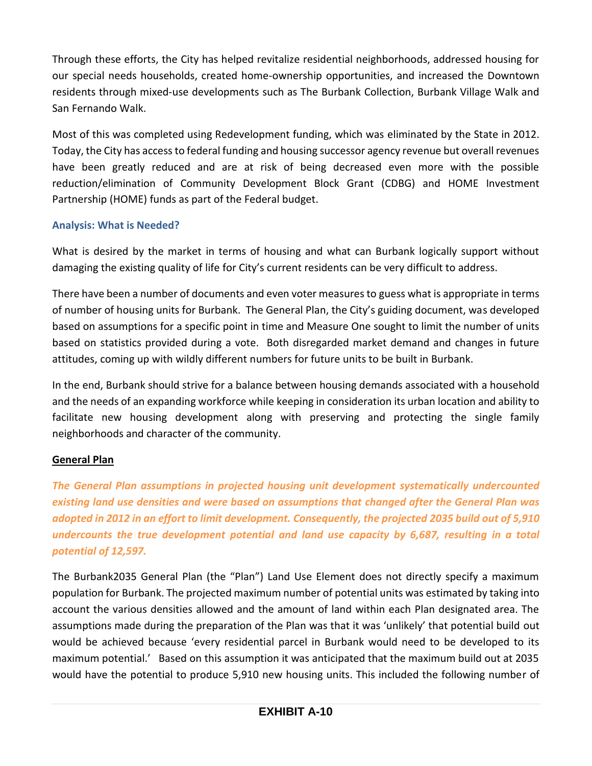Through these efforts, the City has helped revitalize residential neighborhoods, addressed housing for our special needs households, created home-ownership opportunities, and increased the Downtown residents through mixed-use developments such as The Burbank Collection, Burbank Village Walk and San Fernando Walk.

Most of this was completed using Redevelopment funding, which was eliminated by the State in 2012. Today, the City has access to federal funding and housing successor agency revenue but overall revenues have been greatly reduced and are at risk of being decreased even more with the possible reduction/elimination of Community Development Block Grant (CDBG) and HOME Investment Partnership (HOME) funds as part of the Federal budget.

## **Analysis: What is Needed?**

What is desired by the market in terms of housing and what can Burbank logically support without damaging the existing quality of life for City's current residents can be very difficult to address.

There have been a number of documents and even voter measures to guess what is appropriate in terms of number of housing units for Burbank. The General Plan, the City's guiding document, was developed based on assumptions for a specific point in time and Measure One sought to limit the number of units based on statistics provided during a vote. Both disregarded market demand and changes in future attitudes, coming up with wildly different numbers for future units to be built in Burbank.

In the end, Burbank should strive for a balance between housing demands associated with a household and the needs of an expanding workforce while keeping in consideration its urban location and ability to facilitate new housing development along with preserving and protecting the single family neighborhoods and character of the community.

## **General Plan**

*The General Plan assumptions in projected housing unit development systematically undercounted existing land use densities and were based on assumptions that changed after the General Plan was adopted in 2012 in an effort to limit development. Consequently, the projected 2035 build out of 5,910 undercounts the true development potential and land use capacity by 6,687, resulting in a total potential of 12,597.* 

The Burbank2035 General Plan (the "Plan") Land Use Element does not directly specify a maximum population for Burbank. The projected maximum number of potential units was estimated by taking into account the various densities allowed and the amount of land within each Plan designated area. The assumptions made during the preparation of the Plan was that it was 'unlikely' that potential build out would be achieved because 'every residential parcel in Burbank would need to be developed to its maximum potential.' Based on this assumption it was anticipated that the maximum build out at 2035 would have the potential to produce 5,910 new housing units. This included the following number of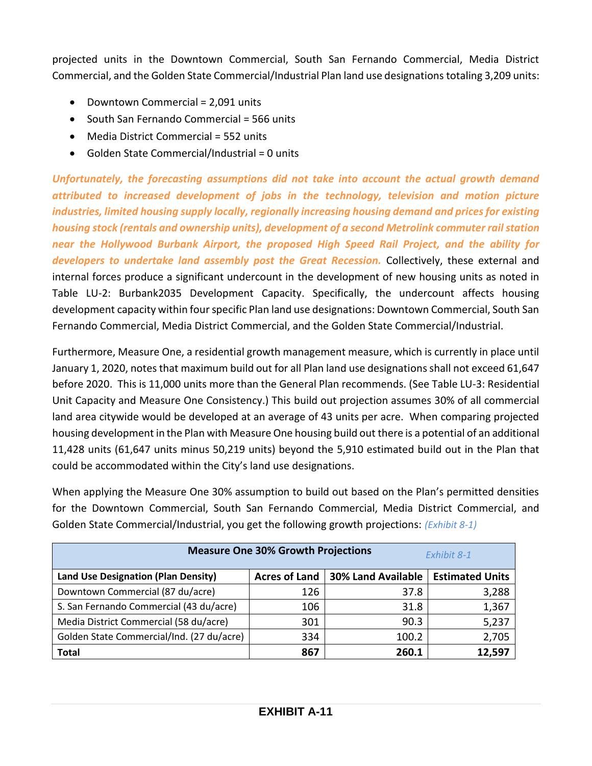projected units in the Downtown Commercial, South San Fernando Commercial, Media District Commercial, and the Golden State Commercial/Industrial Plan land use designations totaling 3,209 units:

- Downtown Commercial = 2,091 units
- South San Fernando Commercial = 566 units
- Media District Commercial = 552 units
- $\bullet$  Golden State Commercial/Industrial = 0 units

*Unfortunately, the forecasting assumptions did not take into account the actual growth demand attributed to increased development of jobs in the technology, television and motion picture industries, limited housing supply locally, regionally increasing housing demand and prices for existing housing stock (rentals and ownership units), development of a second Metrolink commuter rail station near the Hollywood Burbank Airport, the proposed High Speed Rail Project, and the ability for*  developers to undertake land assembly post the Great Recession. Collectively, these external and internal forces produce a significant undercount in the development of new housing units as noted in Table LU-2: Burbank2035 Development Capacity. Specifically, the undercount affects housing development capacity within four specific Plan land use designations: Downtown Commercial, South San Fernando Commercial, Media District Commercial, and the Golden State Commercial/Industrial.

Furthermore, Measure One, a residential growth management measure, which is currently in place until January 1, 2020, notes that maximum build out for all Plan land use designations shall not exceed 61,647 before 2020. This is 11,000 units more than the General Plan recommends. (See Table LU-3: Residential Unit Capacity and Measure One Consistency.) This build out projection assumes 30% of all commercial land area citywide would be developed at an average of 43 units per acre. When comparing projected housing development in the Plan with Measure One housing build out there is a potential of an additional 11,428 units (61,647 units minus 50,219 units) beyond the 5,910 estimated build out in the Plan that could be accommodated within the City's land use designations.

When applying the Measure One 30% assumption to build out based on the Plan's permitted densities for the Downtown Commercial, South San Fernando Commercial, Media District Commercial, and Golden State Commercial/Industrial, you get the following growth projections: *(Exhibit 8-1)*

| <b>Measure One 30% Growth Projections</b><br>Exhibit 8-1 |                      |                           |                        |  |  |  |  |
|----------------------------------------------------------|----------------------|---------------------------|------------------------|--|--|--|--|
| Land Use Designation (Plan Density)                      | <b>Acres of Land</b> | <b>30% Land Available</b> | <b>Estimated Units</b> |  |  |  |  |
| Downtown Commercial (87 du/acre)                         | 126                  | 37.8                      | 3,288                  |  |  |  |  |
| S. San Fernando Commercial (43 du/acre)                  | 106                  | 31.8                      | 1,367                  |  |  |  |  |
| Media District Commercial (58 du/acre)                   | 301                  | 90.3                      | 5,237                  |  |  |  |  |
| Golden State Commercial/Ind. (27 du/acre)                | 334                  | 100.2                     | 2,705                  |  |  |  |  |
| <b>Total</b>                                             | 867                  | 260.1                     | 12,597                 |  |  |  |  |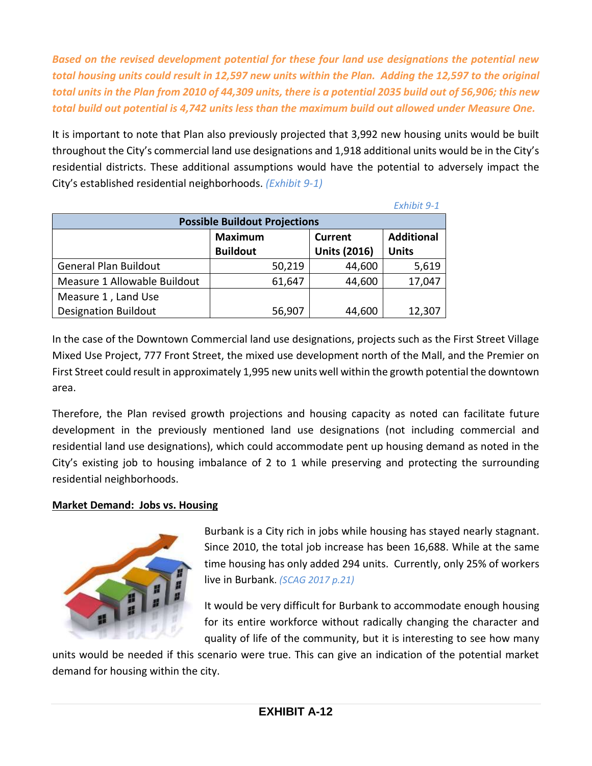*Based on the revised development potential for these four land use designations the potential new total housing units could result in 12,597 new units within the Plan. Adding the 12,597 to the original total units in the Plan from 2010 of 44,309 units, there is a potential 2035 build out of 56,906; this new total build out potential is 4,742 units less than the maximum build out allowed under Measure One.*

It is important to note that Plan also previously projected that 3,992 new housing units would be built throughout the City's commercial land use designations and 1,918 additional units would be in the City's residential districts. These additional assumptions would have the potential to adversely impact the City's established residential neighborhoods. *(Exhibit 9-1)*

|                                                                                                                 |        |        | Exhibit 9-1 |  |  |  |  |  |
|-----------------------------------------------------------------------------------------------------------------|--------|--------|-------------|--|--|--|--|--|
| <b>Possible Buildout Projections</b>                                                                            |        |        |             |  |  |  |  |  |
| <b>Additional</b><br><b>Maximum</b><br><b>Current</b><br><b>Units (2016)</b><br><b>Buildout</b><br><b>Units</b> |        |        |             |  |  |  |  |  |
| <b>General Plan Buildout</b>                                                                                    | 50,219 | 44,600 | 5,619       |  |  |  |  |  |
| Measure 1 Allowable Buildout                                                                                    | 61,647 | 44,600 | 17,047      |  |  |  |  |  |
| Measure 1, Land Use                                                                                             |        |        |             |  |  |  |  |  |
| <b>Designation Buildout</b>                                                                                     | 56,907 | 44,600 | 12,307      |  |  |  |  |  |

In the case of the Downtown Commercial land use designations, projects such as the First Street Village Mixed Use Project, 777 Front Street, the mixed use development north of the Mall, and the Premier on First Street could result in approximately 1,995 new units well within the growth potential the downtown area.

Therefore, the Plan revised growth projections and housing capacity as noted can facilitate future development in the previously mentioned land use designations (not including commercial and residential land use designations), which could accommodate pent up housing demand as noted in the City's existing job to housing imbalance of 2 to 1 while preserving and protecting the surrounding residential neighborhoods.

## **Market Demand: Jobs vs. Housing**



Burbank is a City rich in jobs while housing has stayed nearly stagnant. Since 2010, the total job increase has been 16,688. While at the same time housing has only added 294 units. Currently, only 25% of workers live in Burbank. *(SCAG 2017 p.21)*

It would be very difficult for Burbank to accommodate enough housing for its entire workforce without radically changing the character and quality of life of the community, but it is interesting to see how many

units would be needed if this scenario were true. This can give an indication of the potential market demand for housing within the city.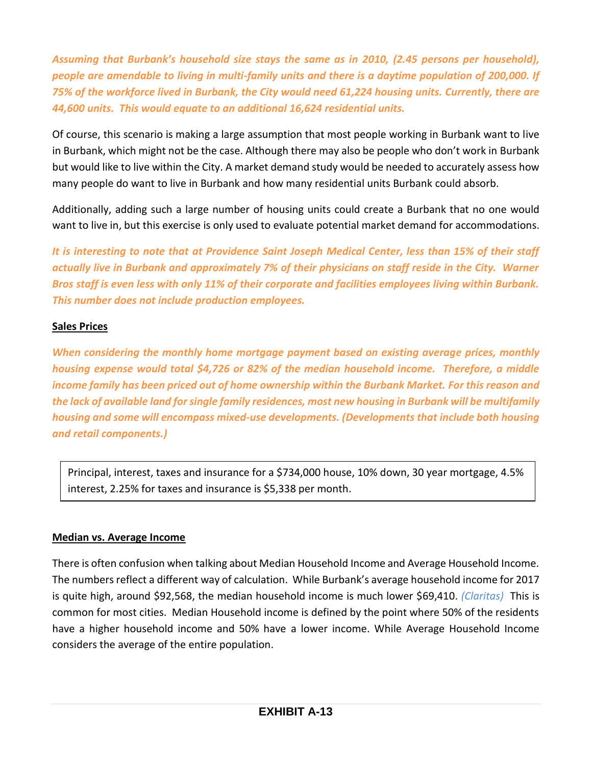*Assuming that Burbank's household size stays the same as in 2010, (2.45 persons per household), people are amendable to living in multi-family units and there is a daytime population of 200,000. If 75% of the workforce lived in Burbank, the City would need 61,224 housing units. Currently, there are 44,600 units. This would equate to an additional 16,624 residential units.* 

Of course, this scenario is making a large assumption that most people working in Burbank want to live in Burbank, which might not be the case. Although there may also be people who don't work in Burbank but would like to live within the City. A market demand study would be needed to accurately assess how many people do want to live in Burbank and how many residential units Burbank could absorb.

Additionally, adding such a large number of housing units could create a Burbank that no one would want to live in, but this exercise is only used to evaluate potential market demand for accommodations.

*It is interesting to note that at Providence Saint Joseph Medical Center, less than 15% of their staff actually live in Burbank and approximately 7% of their physicians on staff reside in the City. Warner Bros staff is even less with only 11% of their corporate and facilities employees living within Burbank. This number does not include production employees.*

## **Sales Prices**

*When considering the monthly home mortgage payment based on existing average prices, monthly housing expense would total \$4,726 or 82% of the median household income. Therefore, a middle income family has been priced out of home ownership within the Burbank Market. For this reason and the lack of available land for single family residences, most new housing in Burbank will be multifamily housing and some will encompass mixed-use developments. (Developments that include both housing and retail components.)*

Principal, interest, taxes and insurance for a \$734,000 house, 10% down, 30 year mortgage, 4.5% interest, 2.25% for taxes and insurance is \$5,338 per month.

## **Median vs. Average Income**

There is often confusion when talking about Median Household Income and Average Household Income. The numbers reflect a different way of calculation. While Burbank's average household income for 2017 is quite high, around \$92,568, the median household income is much lower \$69,410. *(Claritas)* This is common for most cities. Median Household income is defined by the point where 50% of the residents have a higher household income and 50% have a lower income. While Average Household Income considers the average of the entire population.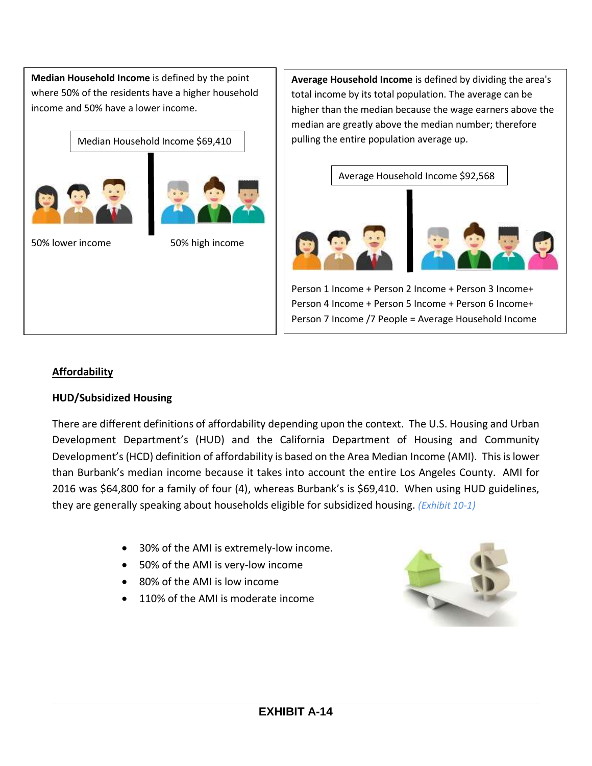**Median Household Income** is defined by the point where 50% of the residents have a higher household income and 50% have a lower income.

Median Household Income \$69,410





50% lower income 50% high income

**Average Household Income** is defined by dividing the area's total income by its total population. The average can be higher than the median because the wage earners above the median are greatly above the median number; therefore pulling the entire population average up.



Person 1 Income + Person 2 Income + Person 3 Income+ Person 4 Income + Person 5 Income + Person 6 Income+ Person 7 Income /7 People = Average Household Income

## **Affordability**

## **HUD/Subsidized Housing**

There are different definitions of affordability depending upon the context. The U.S. Housing and Urban Development Department's (HUD) and the California Department of Housing and Community Development's (HCD) definition of affordability is based on the Area Median Income (AMI). This is lower than Burbank's median income because it takes into account the entire Los Angeles County. AMI for 2016 was \$64,800 for a family of four (4), whereas Burbank's is \$69,410. When using HUD guidelines, they are generally speaking about households eligible for subsidized housing. *(Exhibit 10-1)*

- 30% of the AMI is extremely-low income.
- 50% of the AMI is very-low income
- 80% of the AMI is low income
- 110% of the AMI is moderate income

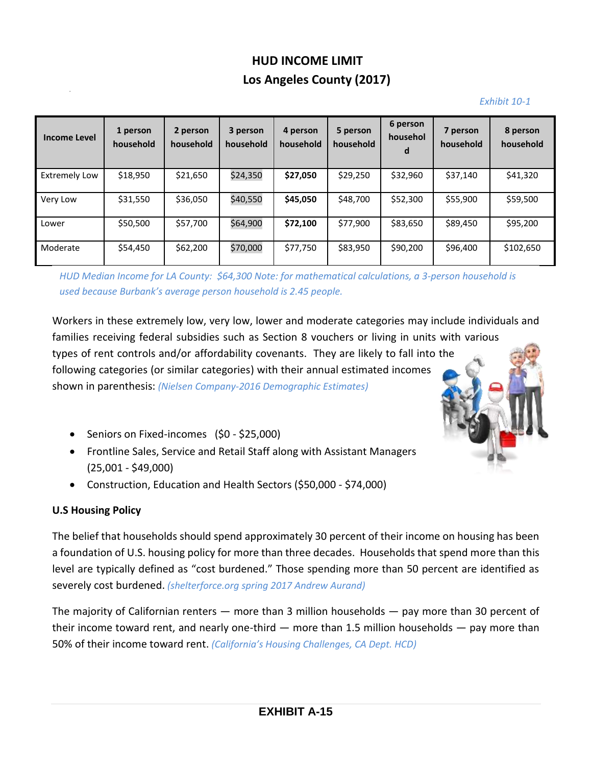# **HUD INCOME LIMIT Los Angeles County (2017)**

#### *Exhibit 10-1*

| <b>Income Level</b>  | 1 person<br>household | 2 person<br>household | 3 person<br>household | 4 person<br>household | 5 person<br>household | 6 person<br>househol<br>d | 7 person<br>household | 8 person<br>household |
|----------------------|-----------------------|-----------------------|-----------------------|-----------------------|-----------------------|---------------------------|-----------------------|-----------------------|
| <b>Extremely Low</b> | \$18,950              | \$21,650              | \$24,350              | \$27,050              | \$29,250              | \$32,960                  | \$37,140              | \$41,320              |
| Very Low             | \$31,550              | \$36,050              | \$40,550              | \$45,050              | \$48,700              | \$52,300                  | \$55,900              | \$59,500              |
| Lower                | \$50,500              | \$57,700              | \$64,900              | \$72,100              | \$77,900              | \$83,650                  | \$89,450              | \$95,200              |
| Moderate             | \$54,450              | \$62,200              | \$70,000              | \$77,750              | \$83,950              | \$90,200                  | \$96,400              | \$102,650             |

*HUD Median Income for LA County: \$64,300 Note: for mathematical calculations, a 3-person household is used because Burbank's average person household is 2.45 people.*

Workers in these extremely low, very low, lower and moderate categories may include individuals and families receiving federal subsidies such as Section 8 vouchers or living in units with various types of rent controls and/or affordability covenants. They are likely to fall into the following categories (or similar categories) with their annual estimated incomes shown in parenthesis: *(Nielsen Company-2016 Demographic Estimates)*

- Seniors on Fixed-incomes (\$0 \$25,000)
- Frontline Sales, Service and Retail Staff along with Assistant Managers (25,001 - \$49,000)
- Construction, Education and Health Sectors (\$50,000 \$74,000)

## **U.S Housing Policy**

The belief that households should spend approximately 30 percent of their income on housing has been a foundation of U.S. housing policy for more than three decades. Households that spend more than this level are typically defined as "cost burdened." Those spending more than 50 percent are identified as severely cost burdened. *(shelterforce.org spring 2017 Andrew Aurand)* 

The majority of Californian renters — more than 3 million households — pay more than 30 percent of their income toward rent, and nearly one-third — more than 1.5 million households — pay more than 50% of their income toward rent. *(California's Housing Challenges, CA Dept. HCD)*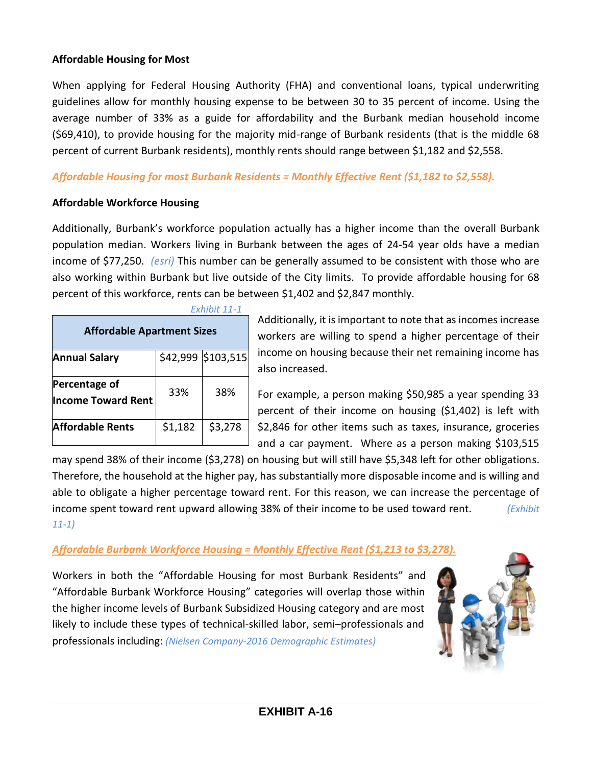#### **Affordable Housing for Most**

When applying for Federal Housing Authority (FHA) and conventional loans, typical underwriting guidelines allow for monthly housing expense to be between 30 to 35 percent of income. Using the average number of 33% as a guide for affordability and the Burbank median household income (\$69,410), to provide housing for the majority mid-range of Burbank residents (that is the middle 68 percent of current Burbank residents), monthly rents should range between \$1,182 and \$2,558.

#### *Affordable Housing for most Burbank Residents = Monthly Effective Rent (\$1,182 to \$2,558).*

#### **Affordable Workforce Housing**

Additionally, Burbank's workforce population actually has a higher income than the overall Burbank population median. Workers living in Burbank between the ages of 24-54 year olds have a median income of \$77,250. *(esri)* This number can be generally assumed to be consistent with those who are also working within Burbank but live outside of the City limits. To provide affordable housing for 68 percent of this workforce, rents can be between \$1,402 and \$2,847 monthly.

|                                            |          | Exhibit 11-1 |  |  |  |  |  |
|--------------------------------------------|----------|--------------|--|--|--|--|--|
| <b>Affordable Apartment Sizes</b>          |          |              |  |  |  |  |  |
| <b>Annual Salary</b>                       | \$42,999 | \$103,515    |  |  |  |  |  |
| Percentage of<br><b>Income Toward Rent</b> | 33%      | 38%          |  |  |  |  |  |
| <b>Affordable Rents</b>                    | \$1,182  | \$3,278      |  |  |  |  |  |

Additionally, it is important to note that as incomes increase workers are willing to spend a higher percentage of their income on housing because their net remaining income has also increased.

For example, a person making \$50,985 a year spending 33 percent of their income on housing (\$1,402) is left with \$2,846 for other items such as taxes, insurance, groceries and a car payment. Where as a person making \$103,515

may spend 38% of their income (\$3,278) on housing but will still have \$5,348 left for other obligations. Therefore, the household at the higher pay, has substantially more disposable income and is willing and able to obligate a higher percentage toward rent. For this reason, we can increase the percentage of income spent toward rent upward allowing 38% of their income to be used toward rent. *(Exhibit 11-1)*

## *Affordable Burbank Workforce Housing = Monthly Effective Rent (\$1,213 to \$3,278).*

Workers in both the "Affordable Housing for most Burbank Residents" and "Affordable Burbank Workforce Housing" categories will overlap those within the higher income levels of Burbank Subsidized Housing category and are most likely to include these types of technical-skilled labor, semi–professionals and professionals including: *(Nielsen Company-2016 Demographic Estimates)*

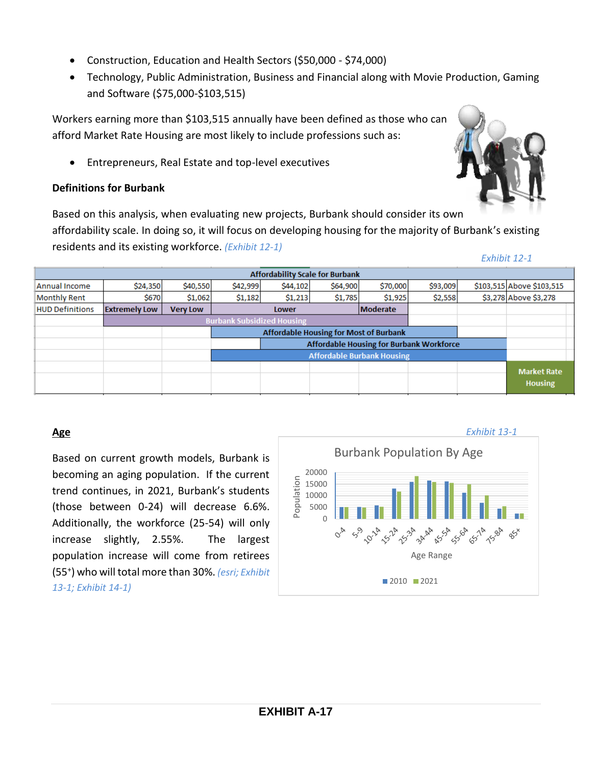- Construction, Education and Health Sectors (\$50,000 \$74,000)
- Technology, Public Administration, Business and Financial along with Movie Production, Gaming and Software (\$75,000-\$103,515)

Workers earning more than \$103,515 annually have been defined as those who can afford Market Rate Housing are most likely to include professions such as:

Entrepreneurs, Real Estate and top-level executives

#### **Definitions for Burbank**

Based on this analysis, when evaluating new projects, Burbank should consider its own affordability scale. In doing so, it will focus on developing housing for the majority of Burbank's existing residents and its existing workforce. *(Exhibit 12-1)*

|                        | <b>Affordability Scale for Burbank</b>        |                                   |          |                          |          |                                                 |          |  |                                      |  |  |
|------------------------|-----------------------------------------------|-----------------------------------|----------|--------------------------|----------|-------------------------------------------------|----------|--|--------------------------------------|--|--|
| Annual Income          | \$24,350                                      | \$40,550                          | \$42,999 | \$44,102                 | \$64,900 | \$70,000                                        | \$93,009 |  | \$103,515 Above \$103,515            |  |  |
| <b>Monthly Rent</b>    | <b>\$670</b>                                  | \$1,062                           | \$1,182  | \$1,213                  | \$1,785  | \$1,925                                         | \$2,558  |  | \$3,278 Above \$3,278                |  |  |
| <b>HUD Definitions</b> | <b>Extremely Low</b>                          | <b>Very Low</b>                   |          | <b>Moderate</b><br>Lower |          |                                                 |          |  |                                      |  |  |
|                        | <b>Burbank Subsidized Housing</b>             |                                   |          |                          |          |                                                 |          |  |                                      |  |  |
|                        | <b>Affordable Housing for Most of Burbank</b> |                                   |          |                          |          |                                                 |          |  |                                      |  |  |
|                        |                                               |                                   |          |                          |          | <b>Affordable Housing for Burbank Workforce</b> |          |  |                                      |  |  |
|                        |                                               | <b>Affordable Burbank Housing</b> |          |                          |          |                                                 |          |  |                                      |  |  |
|                        |                                               |                                   |          |                          |          |                                                 |          |  | <b>Market Rate</b><br><b>Housing</b> |  |  |

## **Age**

Based on current growth models, Burbank is becoming an aging population. If the current trend continues, in 2021, Burbank's students (those between 0-24) will decrease 6.6%. Additionally, the workforce (25-54) will only increase slightly, 2.55%. The largest population increase will come from retirees (55<sup>+</sup> ) who will total more than 30%. *(esri; Exhibit 13-1; Exhibit 14-1)*



#### *Exhibit 12-1*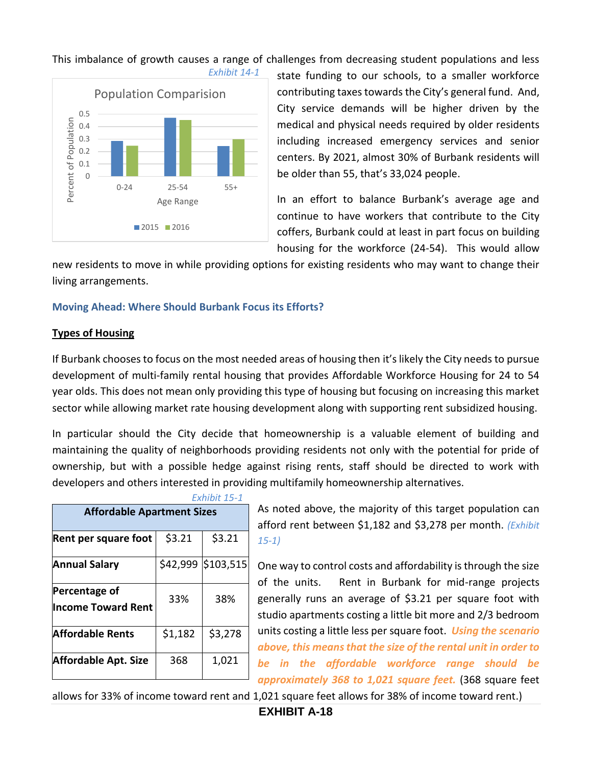

This imbalance of growth causes a range of challenges from decreasing student populations and less

state funding to our schools, to a smaller workforce contributing taxes towards the City's general fund. And, City service demands will be higher driven by the medical and physical needs required by older residents including increased emergency services and senior centers. By 2021, almost 30% of Burbank residents will be older than 55, that's 33,024 people.

In an effort to balance Burbank's average age and continue to have workers that contribute to the City coffers, Burbank could at least in part focus on building housing for the workforce (24-54). This would allow

new residents to move in while providing options for existing residents who may want to change their living arrangements.

#### **Moving Ahead: Where Should Burbank Focus its Efforts?**

#### **Types of Housing**

If Burbank chooses to focus on the most needed areas of housing then it's likely the City needs to pursue development of multi-family rental housing that provides Affordable Workforce Housing for 24 to 54 year olds. This does not mean only providing this type of housing but focusing on increasing this market sector while allowing market rate housing development along with supporting rent subsidized housing.

In particular should the City decide that homeownership is a valuable element of building and maintaining the quality of neighborhoods providing residents not only with the potential for pride of ownership, but with a possible hedge against rising rents, staff should be directed to work with developers and others interested in providing multifamily homeownership alternatives.

| Exhibit 15-1                               |                                   |           |  |  |  |  |  |  |  |
|--------------------------------------------|-----------------------------------|-----------|--|--|--|--|--|--|--|
|                                            | <b>Affordable Apartment Sizes</b> |           |  |  |  |  |  |  |  |
| Rent per square foot                       | \$3.21                            | \$3.21    |  |  |  |  |  |  |  |
| <b>Annual Salary</b>                       | \$42,999                          | \$103,515 |  |  |  |  |  |  |  |
| Percentage of<br><b>Income Toward Rent</b> | 33%                               | 38%       |  |  |  |  |  |  |  |
| <b>Affordable Rents</b>                    | \$1,182                           | \$3,278   |  |  |  |  |  |  |  |
| <b>Affordable Apt. Size</b>                | 368                               | 1,021     |  |  |  |  |  |  |  |

As noted above, the majority of this target population can afford rent between \$1,182 and \$3,278 per month. *(Exhibit 15-1)*

One way to control costs and affordability is through the size of the units. Rent in Burbank for mid-range projects generally runs an average of \$3.21 per square foot with studio apartments costing a little bit more and 2/3 bedroom units costing a little less per square foot. *Using the scenario above, this means that the size of the rental unit in order to be in the affordable workforce range should be approximately 368 to 1,021 square feet.* (368 square feet

allows for 33% of income toward rent and 1,021 square feet allows for 38% of income toward rent.)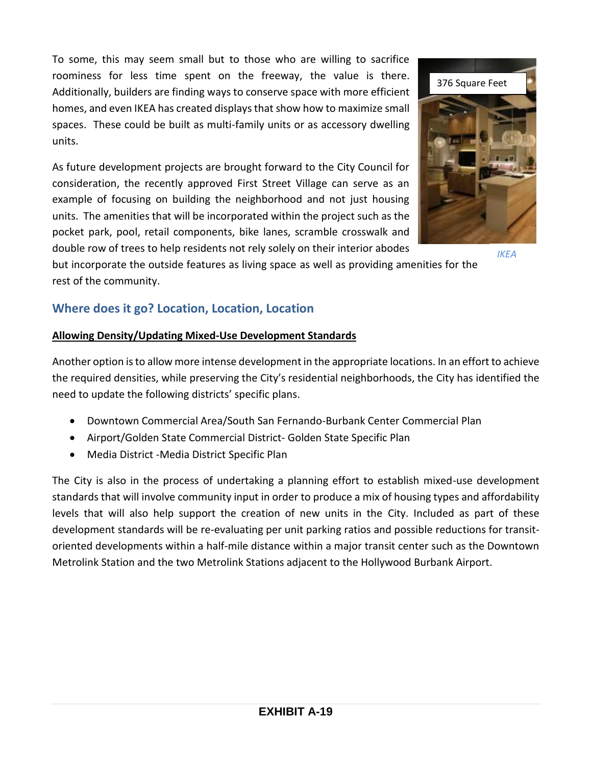To some, this may seem small but to those who are willing to sacrifice roominess for less time spent on the freeway, the value is there. Additionally, builders are finding ways to conserve space with more efficient homes, and even IKEA has created displays that show how to maximize small spaces. These could be built as multi-family units or as accessory dwelling units.

As future development projects are brought forward to the City Council for consideration, the recently approved First Street Village can serve as an example of focusing on building the neighborhood and not just housing units. The amenities that will be incorporated within the project such as the pocket park, pool, retail components, bike lanes, scramble crosswalk and double row of trees to help residents not rely solely on their interior abodes

but incorporate the outside features as living space as well as providing amenities for the rest of the community.

# **Where does it go? Location, Location, Location**

## **Allowing Density/Updating Mixed-Use Development Standards**

Another option is to allow more intense development in the appropriate locations. In an effort to achieve the required densities, while preserving the City's residential neighborhoods, the City has identified the need to update the following districts' specific plans.

- Downtown Commercial Area/South San Fernando-Burbank Center Commercial Plan
- Airport/Golden State Commercial District- Golden State Specific Plan
- Media District -Media District Specific Plan

The City is also in the process of undertaking a planning effort to establish mixed-use development standards that will involve community input in order to produce a mix of housing types and affordability levels that will also help support the creation of new units in the City. Included as part of these development standards will be re-evaluating per unit parking ratios and possible reductions for transitoriented developments within a half-mile distance within a major transit center such as the Downtown Metrolink Station and the two Metrolink Stations adjacent to the Hollywood Burbank Airport.



*IKEA*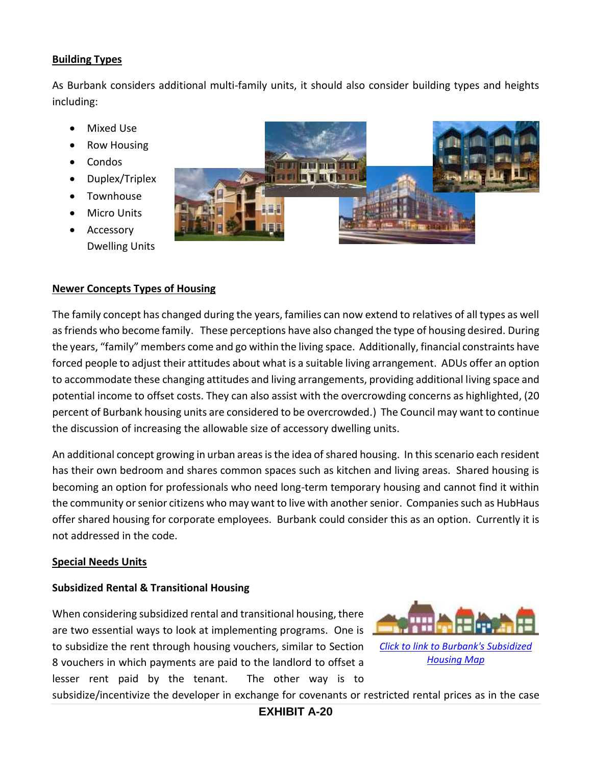#### **Building Types**

As Burbank considers additional multi-family units, it should also consider building types and heights including:

- Mixed Use
- Row Housing
- Condos
- Duplex/Triplex
- Townhouse
- Micro Units
- Accessory Dwelling Units



#### **Newer Concepts Types of Housing**

The family concept has changed during the years, families can now extend to relatives of all types as well as friends who become family. These perceptions have also changed the type of housing desired. During the years, "family" members come and go within the living space. Additionally, financial constraints have forced people to adjust their attitudes about what is a suitable living arrangement. ADUs offer an option to accommodate these changing attitudes and living arrangements, providing additional living space and potential income to offset costs. They can also assist with the overcrowding concerns as highlighted, (20 percent of Burbank housing units are considered to be overcrowded.) The Council may want to continue the discussion of increasing the allowable size of accessory dwelling units.

An additional concept growing in urban areas is the idea of shared housing. In this scenario each resident has their own bedroom and shares common spaces such as kitchen and living areas. Shared housing is becoming an option for professionals who need long-term temporary housing and cannot find it within the community or senior citizens who may want to live with another senior. Companies such as HubHaus offer shared housing for corporate employees. Burbank could consider this as an option. Currently it is not addressed in the code.

#### **Special Needs Units**

#### **Subsidized Rental & Transitional Housing**

When considering subsidized rental and transitional housing, there are two essential ways to look at implementing programs. One is to subsidize the rent through housing vouchers, similar to Section 8 vouchers in which payments are paid to the landlord to offset a lesser rent paid by the tenant. The other way is to



subsidize/incentivize the developer in exchange for covenants or restricted rental prices as in the case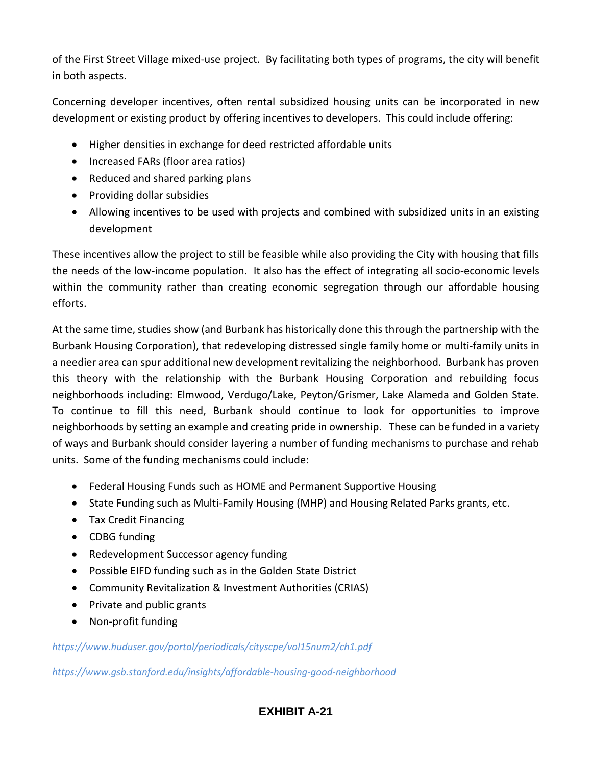of the First Street Village mixed-use project. By facilitating both types of programs, the city will benefit in both aspects.

Concerning developer incentives, often rental subsidized housing units can be incorporated in new development or existing product by offering incentives to developers. This could include offering:

- Higher densities in exchange for deed restricted affordable units
- Increased FARs (floor area ratios)
- Reduced and shared parking plans
- Providing dollar subsidies
- Allowing incentives to be used with projects and combined with subsidized units in an existing development

These incentives allow the project to still be feasible while also providing the City with housing that fills the needs of the low-income population. It also has the effect of integrating all socio-economic levels within the community rather than creating economic segregation through our affordable housing efforts.

At the same time, studies show (and Burbank has historically done this through the partnership with the Burbank Housing Corporation), that redeveloping distressed single family home or multi-family units in a needier area can spur additional new development revitalizing the neighborhood. Burbank has proven this theory with the relationship with the Burbank Housing Corporation and rebuilding focus neighborhoods including: Elmwood, Verdugo/Lake, Peyton/Grismer, Lake Alameda and Golden State. To continue to fill this need, Burbank should continue to look for opportunities to improve neighborhoods by setting an example and creating pride in ownership. These can be funded in a variety of ways and Burbank should consider layering a number of funding mechanisms to purchase and rehab units. Some of the funding mechanisms could include:

- Federal Housing Funds such as HOME and Permanent Supportive Housing
- State Funding such as Multi-Family Housing (MHP) and Housing Related Parks grants, etc.
- Tax Credit Financing
- CDBG funding
- Redevelopment Successor agency funding
- Possible EIFD funding such as in the Golden State District
- Community Revitalization & Investment Authorities (CRIAS)
- Private and public grants
- Non-profit funding

## *<https://www.huduser.gov/portal/periodicals/cityscpe/vol15num2/ch1.pdf>*

*<https://www.gsb.stanford.edu/insights/affordable-housing-good-neighborhood>*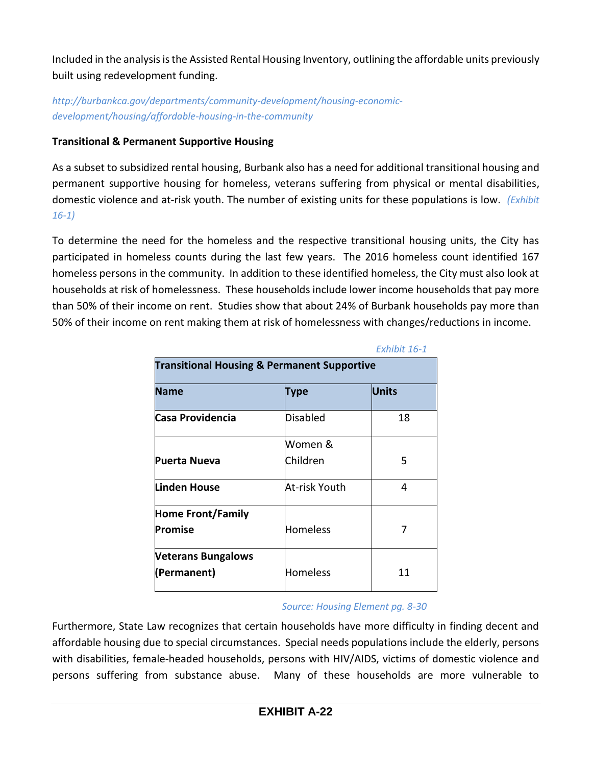Included in the analysis is the Assisted Rental Housing Inventory, outlining the affordable units previously built using redevelopment funding.

*http://burbankca.gov/departments/community-development/housing-economicdevelopment/housing/affordable-housing-in-the-community*

## **Transitional & Permanent Supportive Housing**

As a subset to subsidized rental housing, Burbank also has a need for additional transitional housing and permanent supportive housing for homeless, veterans suffering from physical or mental disabilities, domestic violence and at-risk youth. The number of existing units for these populations is low. *(Exhibit 16-1)*

To determine the need for the homeless and the respective transitional housing units, the City has participated in homeless counts during the last few years. The 2016 homeless count identified 167 homeless persons in the community. In addition to these identified homeless, the City must also look at households at risk of homelessness. These households include lower income households that pay more than 50% of their income on rent. Studies show that about 24% of Burbank households pay more than 50% of their income on rent making them at risk of homelessness with changes/reductions in income.

|                                                        |                 | <i>EXHIDIL 10-1</i> |  |  |  |  |
|--------------------------------------------------------|-----------------|---------------------|--|--|--|--|
| <b>Transitional Housing &amp; Permanent Supportive</b> |                 |                     |  |  |  |  |
| <b>Name</b>                                            | Type            | <b>Units</b>        |  |  |  |  |
| Casa Providencia                                       | Disabled        | 18                  |  |  |  |  |
|                                                        | Women &         |                     |  |  |  |  |
| Puerta Nueva                                           | Children        | 5                   |  |  |  |  |
| Linden House                                           | At-risk Youth   | 4                   |  |  |  |  |
| <b>Home Front/Family</b>                               |                 |                     |  |  |  |  |
| Promise                                                | Homeless        | 7                   |  |  |  |  |
| <b>Veterans Bungalows</b>                              |                 |                     |  |  |  |  |
| (Permanent)                                            | <b>Homeless</b> | 11                  |  |  |  |  |

*Exhibit 16-1*

#### *Source: Housing Element pg. 8-30*

Furthermore, State Law recognizes that certain households have more difficulty in finding decent and affordable housing due to special circumstances. Special needs populations include the elderly, persons with disabilities, female-headed households, persons with HIV/AIDS, victims of domestic violence and persons suffering from substance abuse. Many of these households are more vulnerable to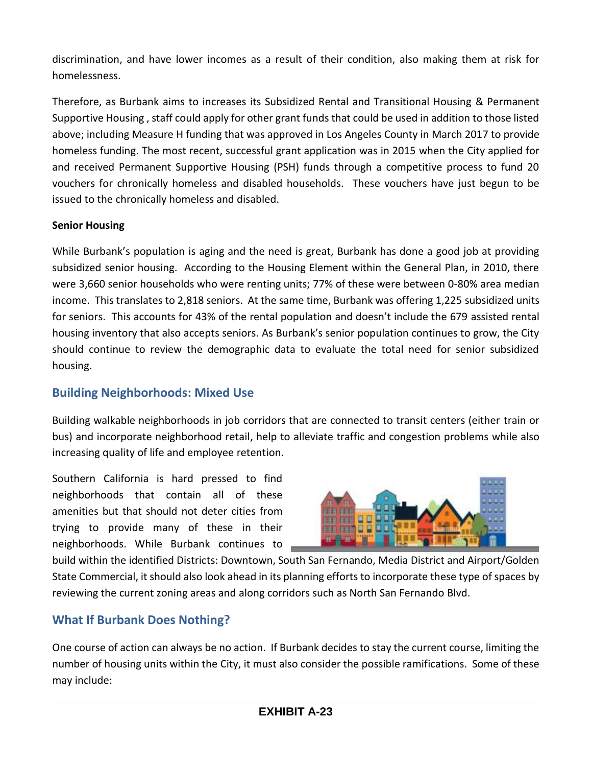discrimination, and have lower incomes as a result of their condition, also making them at risk for homelessness.

Therefore, as Burbank aims to increases its Subsidized Rental and Transitional Housing & Permanent Supportive Housing , staff could apply for other grant funds that could be used in addition to those listed above; including Measure H funding that was approved in Los Angeles County in March 2017 to provide homeless funding. The most recent, successful grant application was in 2015 when the City applied for and received Permanent Supportive Housing (PSH) funds through a competitive process to fund 20 vouchers for chronically homeless and disabled households. These vouchers have just begun to be issued to the chronically homeless and disabled.

## **Senior Housing**

While Burbank's population is aging and the need is great, Burbank has done a good job at providing subsidized senior housing. According to the Housing Element within the General Plan, in 2010, there were 3,660 senior households who were renting units; 77% of these were between 0-80% area median income. This translates to 2,818 seniors. At the same time, Burbank was offering 1,225 subsidized units for seniors. This accounts for 43% of the rental population and doesn't include the 679 assisted rental housing inventory that also accepts seniors. As Burbank's senior population continues to grow, the City should continue to review the demographic data to evaluate the total need for senior subsidized housing.

# **Building Neighborhoods: Mixed Use**

Building walkable neighborhoods in job corridors that are connected to transit centers (either train or bus) and incorporate neighborhood retail, help to alleviate traffic and congestion problems while also increasing quality of life and employee retention.

Southern California is hard pressed to find neighborhoods that contain all of these amenities but that should not deter cities from trying to provide many of these in their neighborhoods. While Burbank continues to



build within the identified Districts: Downtown, South San Fernando, Media District and Airport/Golden State Commercial, it should also look ahead in its planning efforts to incorporate these type of spaces by reviewing the current zoning areas and along corridors such as North San Fernando Blvd.

# **What If Burbank Does Nothing?**

One course of action can always be no action. If Burbank decides to stay the current course, limiting the number of housing units within the City, it must also consider the possible ramifications. Some of these may include: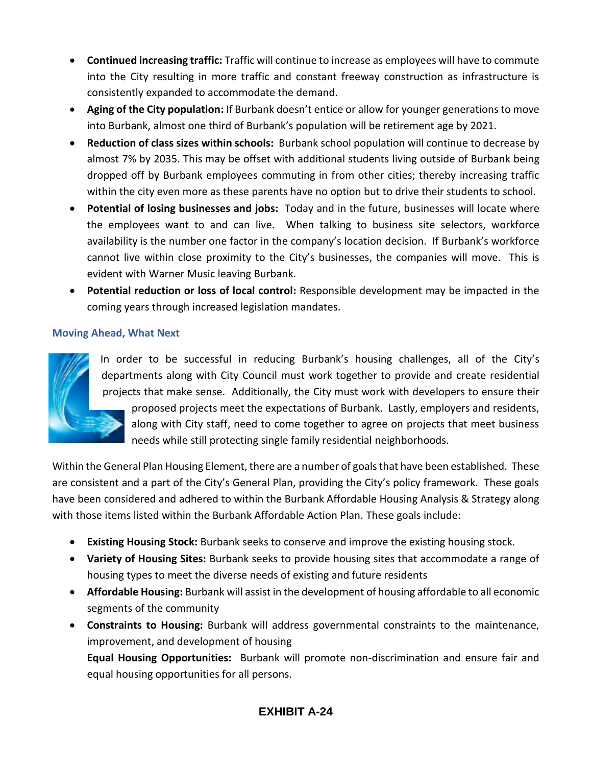- **Continued increasing traffic:** Traffic will continue to increase as employees will have to commute into the City resulting in more traffic and constant freeway construction as infrastructure is consistently expanded to accommodate the demand.
- **Aging of the City population:** If Burbank doesn't entice or allow for younger generations to move into Burbank, almost one third of Burbank's population will be retirement age by 2021.
- **Reduction of class sizes within schools:** Burbank school population will continue to decrease by almost 7% by 2035. This may be offset with additional students living outside of Burbank being dropped off by Burbank employees commuting in from other cities; thereby increasing traffic within the city even more as these parents have no option but to drive their students to school.
- **Potential of losing businesses and jobs:** Today and in the future, businesses will locate where the employees want to and can live. When talking to business site selectors, workforce availability is the number one factor in the company's location decision. If Burbank's workforce cannot live within close proximity to the City's businesses, the companies will move. This is evident with Warner Music leaving Burbank.
- **Potential reduction or loss of local control:** Responsible development may be impacted in the coming years through increased legislation mandates.

## **Moving Ahead, What Next**



In order to be successful in reducing Burbank's housing challenges, all of the City's departments along with City Council must work together to provide and create residential projects that make sense. Additionally, the City must work with developers to ensure their proposed projects meet the expectations of Burbank. Lastly, employers and residents, along with City staff, need to come together to agree on projects that meet business needs while still protecting single family residential neighborhoods.

Within the General Plan Housing Element, there are a number of goals that have been established. These are consistent and a part of the City's General Plan, providing the City's policy framework. These goals have been considered and adhered to within the Burbank Affordable Housing Analysis & Strategy along with those items listed within the Burbank Affordable Action Plan. These goals include:

- **Existing Housing Stock:** Burbank seeks to conserve and improve the existing housing stock.
- **Variety of Housing Sites:** Burbank seeks to provide housing sites that accommodate a range of housing types to meet the diverse needs of existing and future residents
- **Affordable Housing:** Burbank will assist in the development of housing affordable to all economic segments of the community
- **Constraints to Housing:** Burbank will address governmental constraints to the maintenance, improvement, and development of housing

**Equal Housing Opportunities:** Burbank will promote non-discrimination and ensure fair and equal housing opportunities for all persons.